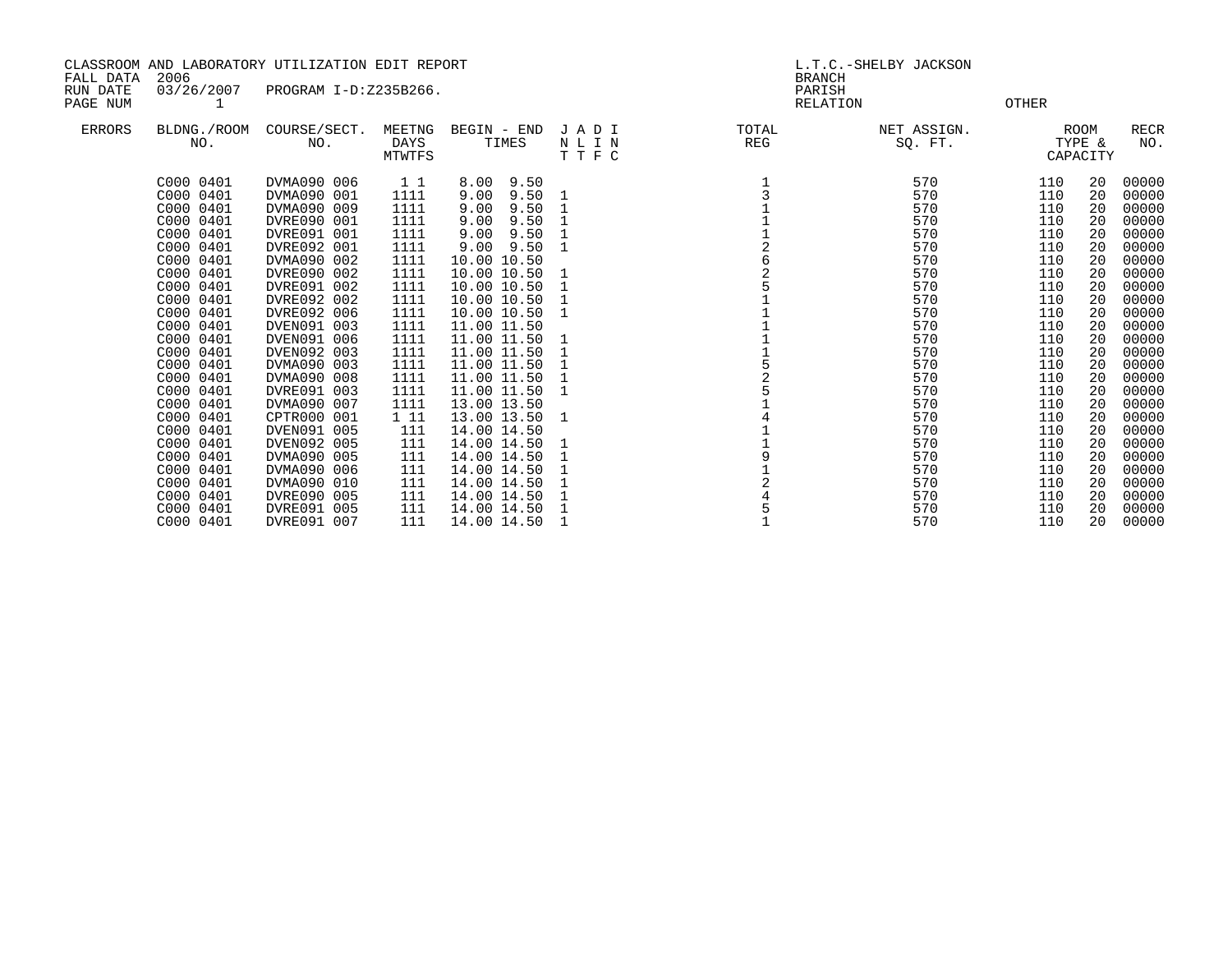| CLASSROOM AND LABORATORY UTILIZATION EDIT REPORT<br>2006<br>FALL DATA |                                                                                                                                                                                                                                                                                                         |                                                                                                                                                                                                                                                                                                                                                       |                                                                                                                                                                                |                                                                                                                                                                                                                                                                                                                                                           | L.T.C.-SHELBY JACKSON<br><b>BRANCH</b> |                    |                                                                                                                                                               |                                                                                                                                                               |                                                                                                                                        |                                                                                                                                                                                                             |
|-----------------------------------------------------------------------|---------------------------------------------------------------------------------------------------------------------------------------------------------------------------------------------------------------------------------------------------------------------------------------------------------|-------------------------------------------------------------------------------------------------------------------------------------------------------------------------------------------------------------------------------------------------------------------------------------------------------------------------------------------------------|--------------------------------------------------------------------------------------------------------------------------------------------------------------------------------|-----------------------------------------------------------------------------------------------------------------------------------------------------------------------------------------------------------------------------------------------------------------------------------------------------------------------------------------------------------|----------------------------------------|--------------------|---------------------------------------------------------------------------------------------------------------------------------------------------------------|---------------------------------------------------------------------------------------------------------------------------------------------------------------|----------------------------------------------------------------------------------------------------------------------------------------|-------------------------------------------------------------------------------------------------------------------------------------------------------------------------------------------------------------|
| RUN DATE<br>PAGE NUM                                                  | 03/26/2007<br>1                                                                                                                                                                                                                                                                                         | PROGRAM I-D:Z235B266.                                                                                                                                                                                                                                                                                                                                 |                                                                                                                                                                                |                                                                                                                                                                                                                                                                                                                                                           |                                        | PARISH<br>RELATION |                                                                                                                                                               | OTHER                                                                                                                                                         |                                                                                                                                        |                                                                                                                                                                                                             |
| <b>ERRORS</b>                                                         | BLDNG./ROOM<br>NO.                                                                                                                                                                                                                                                                                      | COURSE/SECT.<br>NO.                                                                                                                                                                                                                                                                                                                                   | MEETNG<br>DAYS<br>MTWTFS                                                                                                                                                       | BEGIN - END<br>TIMES                                                                                                                                                                                                                                                                                                                                      | JADI<br>N L I N<br>TTFC                | TOTAL<br>REG       | NET ASSIGN.<br>SQ. FT.                                                                                                                                        |                                                                                                                                                               | ROOM<br>TYPE &<br>CAPACITY                                                                                                             | <b>RECR</b><br>NO.                                                                                                                                                                                          |
|                                                                       | C000 0401<br>C000 0401<br>C000 0401<br>C000 0401<br>C000 0401<br>C000 0401<br>C000 0401<br>C000 0401<br>C000 0401<br>C000 0401<br>C000 0401<br>C000 0401<br>C000 0401<br>C000 0401<br>C000 0401<br>C000 0401<br>C000 0401<br>C000 0401<br>C000 0401<br>C000 0401<br>C000 0401<br>C000 0401<br>C000 0401 | DVMA090 006<br>DVMA090 001<br>DVMA090 009<br>DVRE090 001<br>DVRE091 001<br>DVRE092 001<br>DVMA090 002<br>DVRE090 002<br>DVRE091 002<br>DVRE092 002<br>DVRE092 006<br>DVEN091 003<br>DVEN091 006<br>DVEN092 003<br>DVMA090 003<br>DVMA090 008<br>DVRE091 003<br>DVMA090 007<br>CPTR000 001<br>DVEN091 005<br>DVEN092 005<br>DVMA090 005<br>DVMA090 006 | 11<br>1111<br>1111<br>1111<br>1111<br>1111<br>1111<br>1111<br>1111<br>1111<br>1111<br>1111<br>1111<br>1111<br>1111<br>1111<br>1111<br>1111<br>1 11<br>111<br>111<br>111<br>111 | 8.00 9.50<br>9.00<br>9.50<br>9.00<br>9.50<br>9.00<br>9.50<br>9.00<br>9.50<br>$9.00$ $9.50$<br>10.00 10.50<br>10.00 10.50<br>10.00 10.50<br>10.00 10.50<br>10.00 10.50<br>11.00 11.50<br>11.00 11.50<br>11.00 11.50<br>11.00 11.50<br>11.00 11.50<br>11.00 11.50<br>13.00 13.50<br>13.00 13.50<br>14.00 14.50<br>14.00 14.50<br>14.00 14.50<br>14.00 14.50 | 1<br>1<br>1<br>1<br>1<br>1<br>1<br>1   |                    | 570<br>570<br>570<br>570<br>570<br>570<br>570<br>570<br>570<br>570<br>570<br>570<br>570<br>570<br>570<br>570<br>570<br>570<br>570<br>570<br>570<br>570<br>570 | 110<br>110<br>110<br>110<br>110<br>110<br>110<br>110<br>110<br>110<br>110<br>110<br>110<br>110<br>110<br>110<br>110<br>110<br>110<br>110<br>110<br>110<br>110 | 20<br>20<br>20<br>20<br>20<br>20<br>20<br>20<br>20<br>20<br>20<br>20<br>20<br>20<br>20<br>20<br>20<br>20<br>20<br>20<br>20<br>20<br>20 | 00000<br>00000<br>00000<br>00000<br>00000<br>00000<br>00000<br>00000<br>00000<br>00000<br>00000<br>00000<br>00000<br>00000<br>00000<br>00000<br>00000<br>00000<br>00000<br>00000<br>00000<br>00000<br>00000 |
|                                                                       | C000 0401<br>C000 0401<br>C000 0401                                                                                                                                                                                                                                                                     | DVMA090 010<br>DVRE090 005<br>DVRE091 005                                                                                                                                                                                                                                                                                                             | 111<br>111<br>111                                                                                                                                                              | 14.00 14.50<br>14.00 14.50<br>14.00 14.50                                                                                                                                                                                                                                                                                                                 |                                        |                    | 570<br>570<br>570                                                                                                                                             | 110<br>110<br>110                                                                                                                                             | 20<br>20<br>20                                                                                                                         | 00000<br>00000<br>00000                                                                                                                                                                                     |

C000 0401 DVRE091 007 111 14.00 14.50 1 1 570 110 20 00000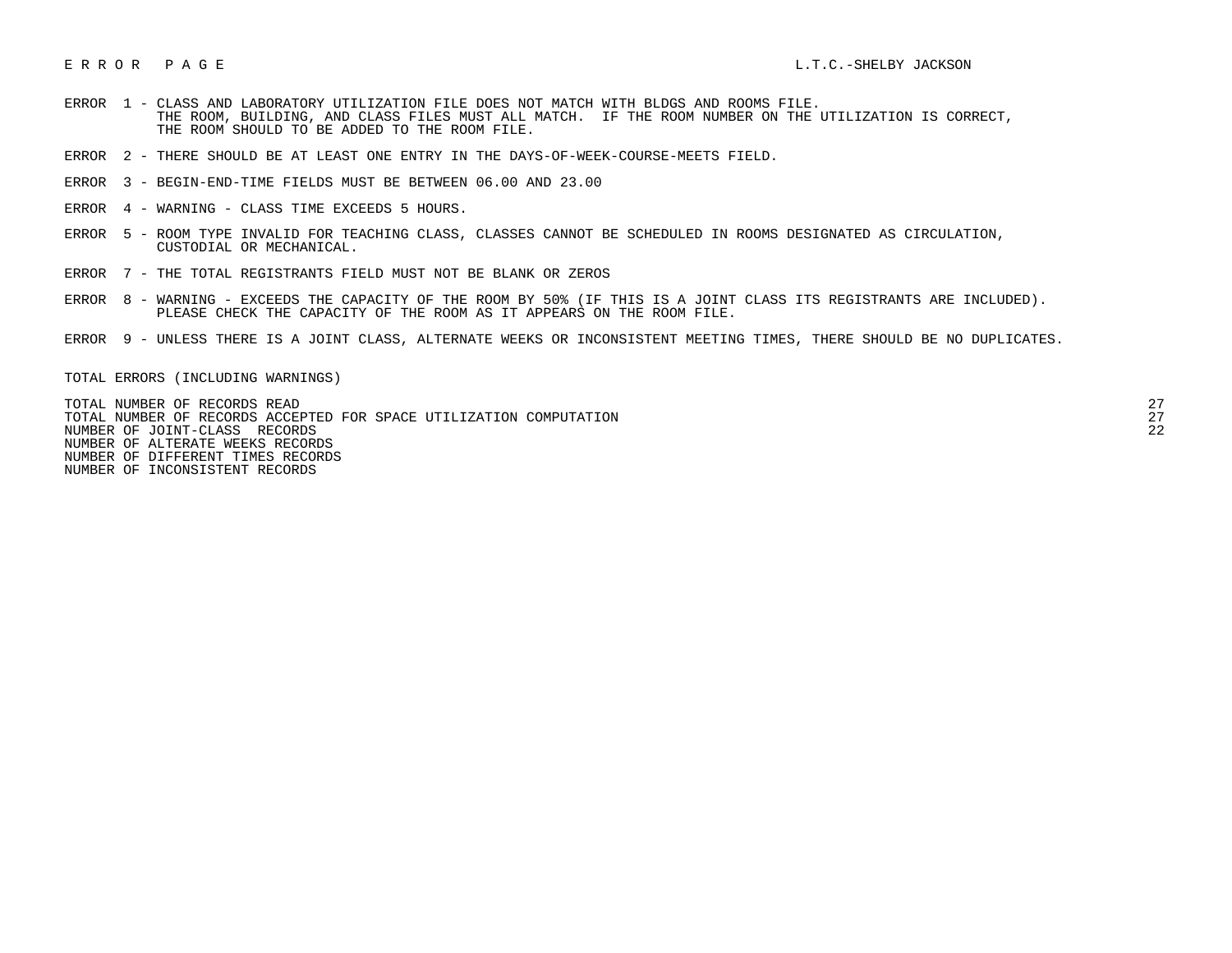- ERROR 1 CLASS AND LABORATORY UTILIZATION FILE DOES NOT MATCH WITH BLDGS AND ROOMS FILE. THE ROOM, BUILDING, AND CLASS FILES MUST ALL MATCH. IF THE ROOM NUMBER ON THE UTILIZATION IS CORRECT, THE ROOM SHOULD TO BE ADDED TO THE ROOM FILE.
- ERROR 2 THERE SHOULD BE AT LEAST ONE ENTRY IN THE DAYS-OF-WEEK-COURSE-MEETS FIELD.
- ERROR 3 BEGIN-END-TIME FIELDS MUST BE BETWEEN 06.00 AND 23.00
- ERROR 4 WARNING CLASS TIME EXCEEDS 5 HOURS.
- ERROR 5 ROOM TYPE INVALID FOR TEACHING CLASS, CLASSES CANNOT BE SCHEDULED IN ROOMS DESIGNATED AS CIRCULATION, CUSTODIAL OR MECHANICAL.
- ERROR 7 THE TOTAL REGISTRANTS FIELD MUST NOT BE BLANK OR ZEROS
- ERROR 8 WARNING EXCEEDS THE CAPACITY OF THE ROOM BY 50% (IF THIS IS A JOINT CLASS ITS REGISTRANTS ARE INCLUDED). PLEASE CHECK THE CAPACITY OF THE ROOM AS IT APPEARS ON THE ROOM FILE.
- ERROR 9 UNLESS THERE IS A JOINT CLASS, ALTERNATE WEEKS OR INCONSISTENT MEETING TIMES, THERE SHOULD BE NO DUPLICATES.

TOTAL ERRORS (INCLUDING WARNINGS)

 TOTAL NUMBER OF RECORDS READ 27 TOTAL NUMBER OF RECORDS ACCEPTED FOR SPACE UTILIZATION COMPUTATION 27 NUMBER OF JOINT-CLASS RECORDS 22 NUMBER OF ALTERATE WEEKS RECORDS NUMBER OF DIFFERENT TIMES RECORDS NUMBER OF INCONSISTENT RECORDS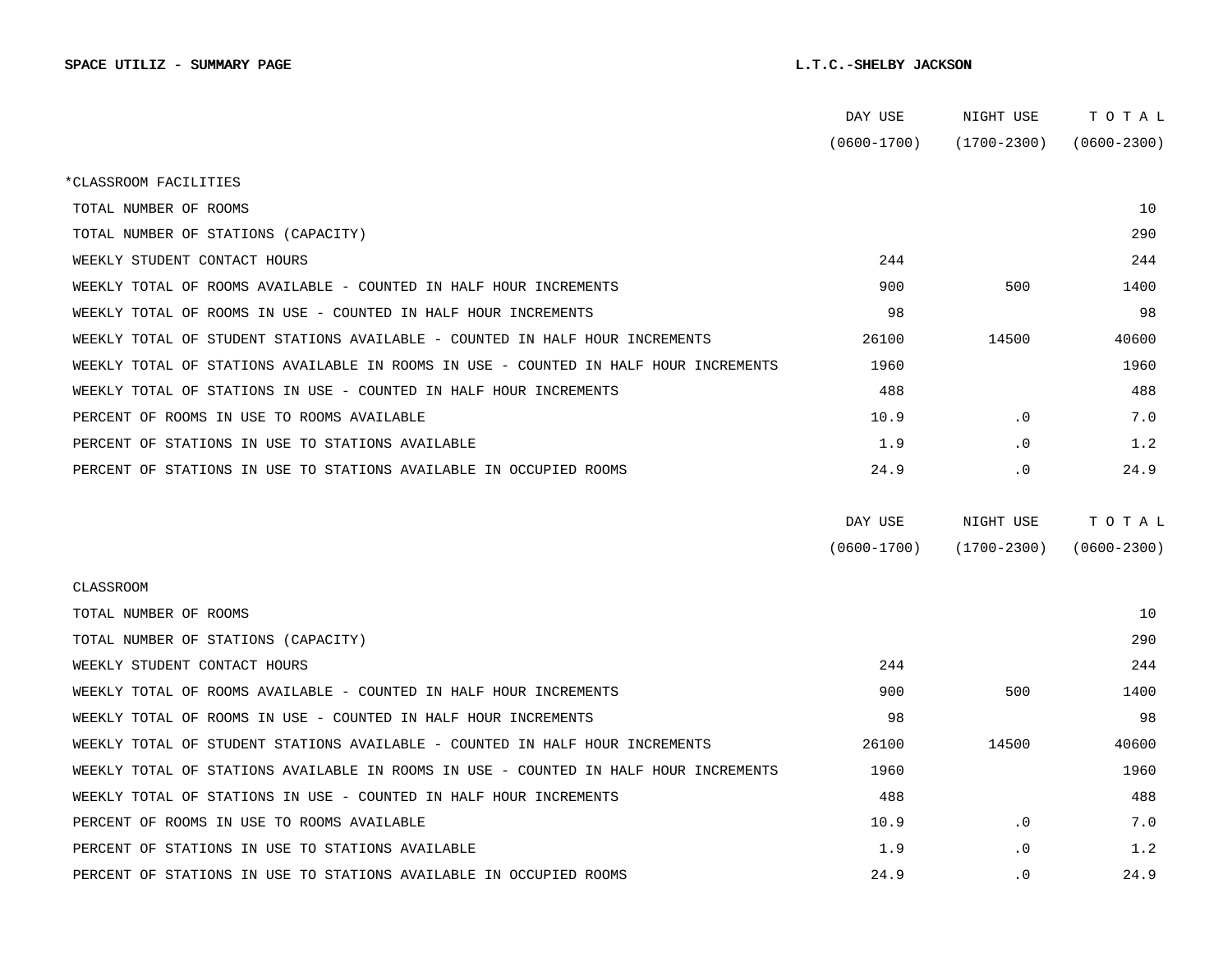|                                                                                      | DAY USE         | NIGHT USE       | TOTAL           |  |
|--------------------------------------------------------------------------------------|-----------------|-----------------|-----------------|--|
|                                                                                      | $(0600 - 1700)$ | $(1700 - 2300)$ | $(0600 - 2300)$ |  |
| *CLASSROOM FACILITIES                                                                |                 |                 |                 |  |
| TOTAL NUMBER OF ROOMS                                                                |                 |                 | 10              |  |
| TOTAL NUMBER OF STATIONS (CAPACITY)                                                  |                 |                 | 290             |  |
| WEEKLY STUDENT CONTACT HOURS                                                         | 244             |                 | 244             |  |
| WEEKLY TOTAL OF ROOMS AVAILABLE - COUNTED IN HALF HOUR INCREMENTS                    | 900             | 500             | 1400            |  |
| WEEKLY TOTAL OF ROOMS IN USE - COUNTED IN HALF HOUR INCREMENTS                       | 98              |                 | 98              |  |
| WEEKLY TOTAL OF STUDENT STATIONS AVAILABLE - COUNTED IN HALF HOUR INCREMENTS         | 26100           | 14500           | 40600           |  |
| WEEKLY TOTAL OF STATIONS AVAILABLE IN ROOMS IN USE - COUNTED IN HALF HOUR INCREMENTS | 1960            |                 | 1960            |  |
| WEEKLY TOTAL OF STATIONS IN USE - COUNTED IN HALF HOUR INCREMENTS                    | 488             |                 | 488             |  |
| PERCENT OF ROOMS IN USE TO ROOMS AVAILABLE                                           | 10.9            | $\cdot$ 0       | 7.0             |  |
| PERCENT OF STATIONS IN USE TO STATIONS AVAILABLE                                     | 1.9             | $\cdot$ 0       | 1.2             |  |
| PERCENT OF STATIONS IN USE TO STATIONS AVAILABLE IN OCCUPIED ROOMS                   | 24.9            | . 0             | 24.9            |  |
|                                                                                      |                 |                 |                 |  |
|                                                                                      | DAY USE         | NIGHT USE       | TOTAL           |  |
|                                                                                      | $(0600 - 1700)$ | $(1700 - 2300)$ | $(0600 - 2300)$ |  |
| CLASSROOM                                                                            |                 |                 |                 |  |
| TOTAL NUMBER OF ROOMS                                                                |                 |                 | 10              |  |
| TOTAL NUMBER OF STATIONS (CAPACITY)                                                  |                 |                 | 290             |  |
| WEEKLY STUDENT CONTACT HOURS                                                         | 244             |                 | 244             |  |
| WEEKLY TOTAL OF ROOMS AVAILABLE - COUNTED IN HALF HOUR INCREMENTS                    | 900             | 500             | 1400            |  |
| WEEKLY TOTAL OF ROOMS IN USE - COUNTED IN HALF HOUR INCREMENTS                       | 98              |                 | 98              |  |
| WEEKLY TOTAL OF STUDENT STATIONS AVAILABLE - COUNTED IN HALF HOUR INCREMENTS         | 26100           | 14500           | 40600           |  |
| WEEKLY TOTAL OF STATIONS AVAILABLE IN ROOMS IN USE - COUNTED IN HALF HOUR INCREMENTS | 1960            |                 | 1960            |  |
| WEEKLY TOTAL OF STATIONS IN USE - COUNTED IN HALF HOUR INCREMENTS                    | 488             |                 | 488             |  |
| PERCENT OF ROOMS IN USE TO ROOMS AVAILABLE                                           | 10.9            | $\cdot$ 0       | 7.0             |  |
| PERCENT OF STATIONS IN USE TO STATIONS AVAILABLE                                     | 1.9             | $\cdot$ 0       | 1.2             |  |
| PERCENT OF STATIONS IN USE TO STATIONS AVAILABLE IN OCCUPIED ROOMS                   | 24.9            | $\cdot$ 0       | 24.9            |  |